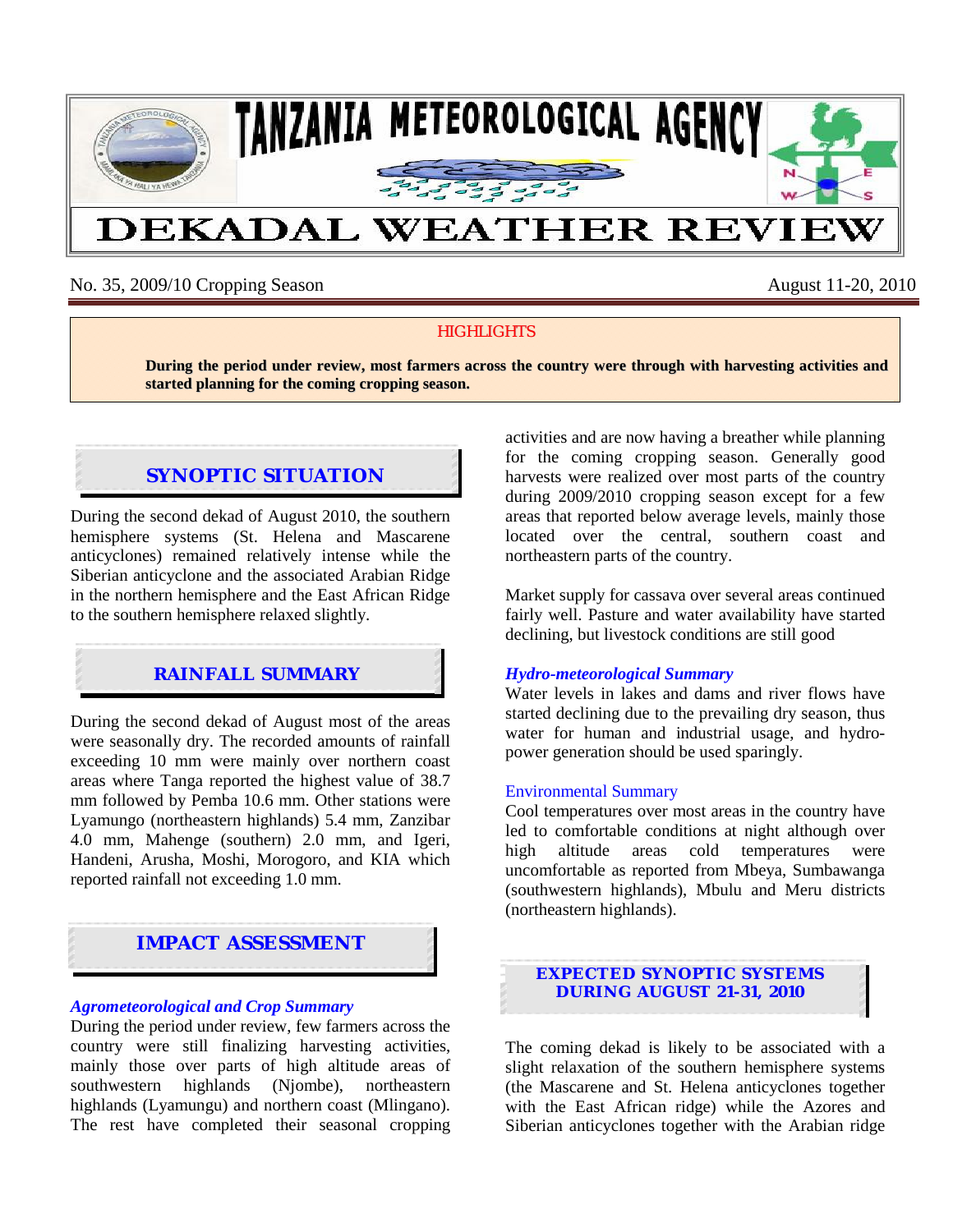

# No. 35, 2009/10 Cropping Season August 11-20, 2010

## **HIGHLIGHTS**

**During the period under review, most farmers across the country were through with harvesting activities and started planning for the coming cropping season.**

# **SYNOPTIC SITUATION**

During the second dekad of August 2010, the southern hemisphere systems (St. Helena and Mascarene anticyclones) remained relatively intense while the Siberian anticyclone and the associated Arabian Ridge in the northern hemisphere and the East African Ridge to the southern hemisphere relaxed slightly.

## **RAINFALL SUMMARY**

During the second dekad of August most of the areas were seasonally dry. The recorded amounts of rainfall exceeding 10 mm were mainly over northern coast areas where Tanga reported the highest value of 38.7 mm followed by Pemba 10.6 mm. Other stations were Lyamungo (northeastern highlands) 5.4 mm, Zanzibar 4.0 mm, Mahenge (southern) 2.0 mm, and Igeri, Handeni, Arusha, Moshi, Morogoro, and KIA which reported rainfall not exceeding 1.0 mm.

# **IMPACT ASSESSMENT**

### *Agrometeorological and Crop Summary*

During the period under review, few farmers across the country were still finalizing harvesting activities, mainly those over parts of high altitude areas of southwestern highlands (Njombe), northeastern highlands (Lyamungu) and northern coast (Mlingano). The rest have completed their seasonal cropping activities and are now having a breather while planning for the coming cropping season. Generally good harvests were realized over most parts of the country during 2009/2010 cropping season except for a few areas that reported below average levels, mainly those located over the central, southern coast and northeastern parts of the country.

Market supply for cassava over several areas continued fairly well. Pasture and water availability have started declining, but livestock conditions are still good

### *Hydro-meteorological Summary*

Water levels in lakes and dams and river flows have started declining due to the prevailing dry season, thus water for human and industrial usage, and hydropower generation should be used sparingly.

#### Environmental Summary

Cool temperatures over most areas in the country have led to comfortable conditions at night although over high altitude areas cold temperatures were uncomfortable as reported from Mbeya, Sumbawanga (southwestern highlands), Mbulu and Meru districts (northeastern highlands).



The coming dekad is likely to be associated with a slight relaxation of the southern hemisphere systems (the Mascarene and St. Helena anticyclones together with the East African ridge) while the Azores and Siberian anticyclones together with the Arabian ridge